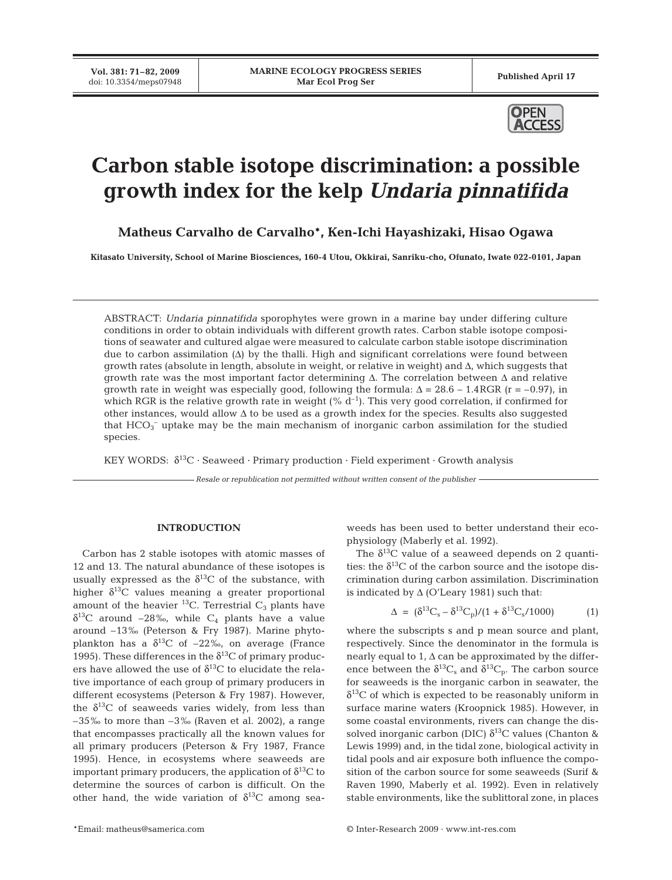**Vol. 381: 71–82, 2009**



# **Carbon stable isotope discrimination: a possible growth index for the kelp** *Undaria pinnatifida*

**Matheus Carvalho de Carvalho\*, Ken-Ichi Hayashizaki, Hisao Ogawa**

**Kitasato University, School of Marine Biosciences, 160-4 Utou, Okkirai, Sanriku-cho, Ofunato, Iwate 022-0101, Japan**

ABSTRACT: *Undaria pinnatifida* sporophytes were grown in a marine bay under differing culture conditions in order to obtain individuals with different growth rates. Carbon stable isotope compositions of seawater and cultured algae were measured to calculate carbon stable isotope discrimination due to carbon assimilation  $(\Delta)$  by the thalli. High and significant correlations were found between growth rates (absolute in length, absolute in weight, or relative in weight) and Δ, which suggests that growth rate was the most important factor determining  $\Delta$ . The correlation between  $\Delta$  and relative growth rate in weight was especially good, following the formula:  $\Delta = 28.6 - 1.4$  RGR (r = -0.97), in which RGR is the relative growth rate in weight  $({\% d<sup>-1</sup>)}$ . This very good correlation, if confirmed for other instances, would allow Δ to be used as a growth index for the species. Results also suggested that  $\text{HCO}_3^-$  uptake may be the main mechanism of inorganic carbon assimilation for the studied species.

KEY WORDS:  $\delta^{13}C \cdot$  Seaweed  $\cdot$  Primary production  $\cdot$  Field experiment  $\cdot$  Growth analysis

*Resale or republication not permitted without written consent of the publisher*

## **INTRODUCTION**

Carbon has 2 stable isotopes with atomic masses of 12 and 13. The natural abundance of these isotopes is usually expressed as the  $\delta^{13}$ C of the substance, with higher  $\delta^{13}$ C values meaning a greater proportional amount of the heavier  $^{13}$ C. Terrestrial C<sub>3</sub> plants have  $\delta^{13}$ C around -28‰, while C<sub>4</sub> plants have a value around –13‰ (Peterson & Fry 1987). Marine phytoplankton has a  $\delta^{13}$ C of  $-22\%$ , on average (France 1995). These differences in the  $\delta^{13}$ C of primary producers have allowed the use of  $\delta^{13}C$  to elucidate the relative importance of each group of primary producers in different ecosystems (Peterson & Fry 1987). However, the  $\delta^{13}$ C of seaweeds varies widely, from less than  $-35\%$  to more than  $-3\%$  (Raven et al. 2002), a range that encompasses practically all the known values for all primary producers (Peterson & Fry 1987, France 1995). Hence, in ecosystems where seaweeds are important primary producers, the application of  $\delta^{13}C$  to determine the sources of carbon is difficult. On the other hand, the wide variation of  $\delta^{13}$ C among seaweeds has been used to better understand their ecophysiology (Maberly et al. 1992).

The  $\delta^{13}$ C value of a seaweed depends on 2 quantities: the  $\delta^{13}$ C of the carbon source and the isotope discrimination during carbon assimilation. Discrimination is indicated by  $\Delta$  (O'Leary 1981) such that:

$$
\Delta = (\delta^{13}C_{s} - \delta^{13}C_{p})/(1 + \delta^{13}C_{s}/1000) \tag{1}
$$

where the subscripts s and p mean source and plant, respectively. Since the denominator in the formula is nearly equal to 1,  $\Delta$  can be approximated by the difference between the  $\delta^{13}\mathrm{C}_{\mathrm{s}}$  and  $\delta^{13}\mathrm{C}_{\mathrm{p}}.$  The carbon source for seaweeds is the inorganic carbon in seawater, the  $\delta^{13}$ C of which is expected to be reasonably uniform in surface marine waters (Kroopnick 1985). However, in some coastal environments, rivers can change the dissolved inorganic carbon (DIC)  $\delta^{13}$ C values (Chanton & Lewis 1999) and, in the tidal zone, biological activity in tidal pools and air exposure both influence the composition of the carbon source for some seaweeds (Surif & Raven 1990, Maberly et al. 1992). Even in relatively stable environments, like the sublittoral zone, in places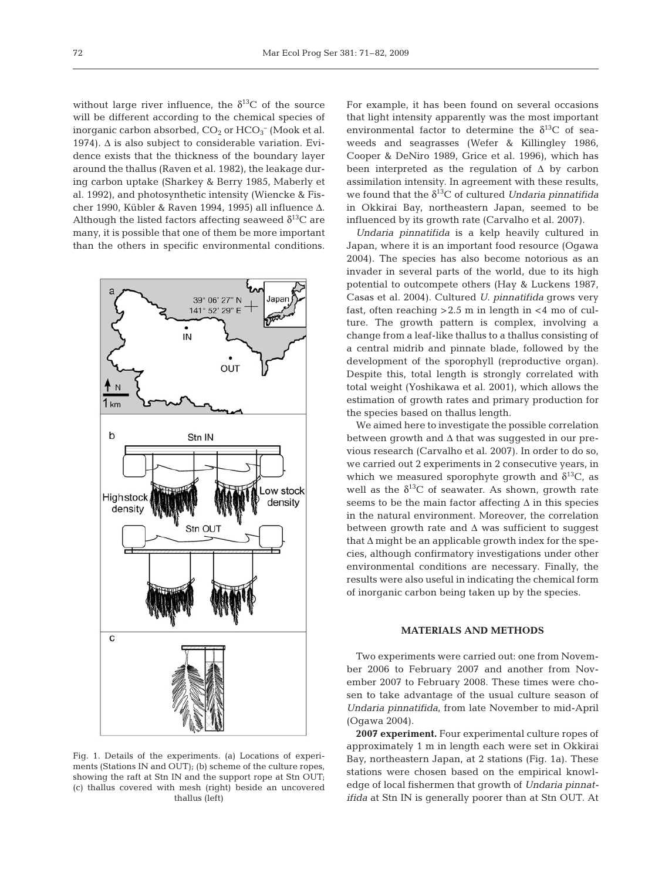without large river influence, the  $\delta^{13}$ C of the source will be different according to the chemical species of inorganic carbon absorbed,  $CO_2$  or  $HCO_3^-$  (Mook et al. 1974).  $\Delta$  is also subject to considerable variation. Evidence exists that the thickness of the boundary layer around the thallus (Raven et al. 1982), the leakage during carbon uptake (Sharkey & Berry 1985, Maberly et al. 1992), and photosynthetic intensity (Wiencke & Fischer 1990, Kübler & Raven 1994, 1995) all influence Δ. Although the listed factors affecting seaweed  $\delta^{13}$ C are many, it is possible that one of them be more important than the others in specific environmental conditions.



Fig. 1. Details of the experiments. (a) Locations of experiments (Stations IN and OUT); (b) scheme of the culture ropes, showing the raft at Stn IN and the support rope at Stn OUT; (c) thallus covered with mesh (right) beside an uncovered thallus (left)

For example, it has been found on several occasions that light intensity apparently was the most important environmental factor to determine the  $\delta^{13}$ C of seaweeds and seagrasses (Wefer & Killingley 1986, Cooper & DeNiro 1989, Grice et al. 1996), which has been interpreted as the regulation of  $\Delta$  by carbon assimilation intensity. In agreement with these results, we found that the  $\delta^{13}$ C of cultured *Undaria pinnatifida* in Okkirai Bay, northeastern Japan, seemed to be influenced by its growth rate (Carvalho et al. 2007).

*Undaria pinnatifida* is a kelp heavily cultured in Japan, where it is an important food resource (Ogawa 2004). The species has also become notorious as an invader in several parts of the world, due to its high potential to outcompete others (Hay & Luckens 1987, Casas et al. 2004). Cultured *U. pinnatifida* grows very fast, often reaching  $>2.5$  m in length in  $<$ 4 mo of culture. The growth pattern is complex, involving a change from a leaf-like thallus to a thallus consisting of a central midrib and pinnate blade, followed by the development of the sporophyll (reproductive organ). Despite this, total length is strongly correlated with total weight (Yoshikawa et al. 2001), which allows the estimation of growth rates and primary production for the species based on thallus length.

We aimed here to investigate the possible correlation between growth and  $\Delta$  that was suggested in our previous research (Carvalho et al. 2007). In order to do so, we carried out 2 experiments in 2 consecutive years, in which we measured sporophyte growth and  $\delta^{13}C$ , as well as the  $\delta^{13}C$  of seawater. As shown, growth rate seems to be the main factor affecting  $\Delta$  in this species in the natural environment. Moreover, the correlation between growth rate and  $\Delta$  was sufficient to suggest that  $\Delta$  might be an applicable growth index for the species, although confirmatory investigations under other environmental conditions are necessary. Finally, the results were also useful in indicating the chemical form of inorganic carbon being taken up by the species.

## **MATERIALS AND METHODS**

Two experiments were carried out: one from November 2006 to February 2007 and another from November 2007 to February 2008. These times were chosen to take advantage of the usual culture season of *Undaria pinnatifida*, from late November to mid-April (Ogawa 2004).

**2007 experiment.** Four experimental culture ropes of approximately 1 m in length each were set in Okkirai Bay, northeastern Japan, at 2 stations (Fig. 1a). These stations were chosen based on the empirical knowledge of local fishermen that growth of *Undaria pinnatifida* at Stn IN is generally poorer than at Stn OUT. At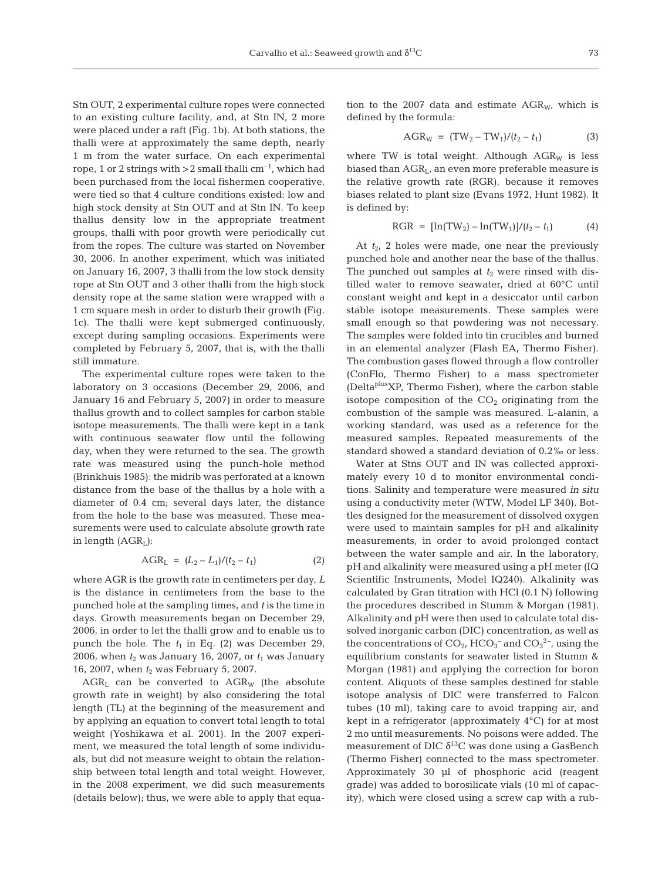Stn OUT, 2 experimental culture ropes were connected to an existing culture facility, and, at Stn IN, 2 more were placed under a raft (Fig. 1b). At both stations, the thalli were at approximately the same depth, nearly 1 m from the water surface. On each experimental rope, 1 or 2 strings with  $>$  2 small thalli cm<sup>-1</sup>, which had been purchased from the local fishermen cooperative, were tied so that 4 culture conditions existed: low and high stock density at Stn OUT and at Stn IN. To keep thallus density low in the appropriate treatment groups, thalli with poor growth were periodically cut from the ropes. The culture was started on November 30, 2006. In another experiment, which was initiated on January 16, 2007, 3 thalli from the low stock density rope at Stn OUT and 3 other thalli from the high stock density rope at the same station were wrapped with a 1 cm square mesh in order to disturb their growth (Fig. 1c). The thalli were kept submerged continuously, except during sampling occasions. Experiments were completed by February 5, 2007, that is, with the thalli still immature.

The experimental culture ropes were taken to the laboratory on 3 occasions (December 29, 2006, and January 16 and February 5, 2007) in order to measure thallus growth and to collect samples for carbon stable isotope measurements. The thalli were kept in a tank with continuous seawater flow until the following day, when they were returned to the sea. The growth rate was measured using the punch-hole method (Brinkhuis 1985): the midrib was perforated at a known distance from the base of the thallus by a hole with a diameter of 0.4 cm; several days later, the distance from the hole to the base was measured. These measurements were used to calculate absolute growth rate in length  $(AGR<sub>L</sub>)$ :

$$
AGR_{L} = (L_{2} - L_{1})/(t_{2} - t_{1})
$$
\n(2)

where AGR is the growth rate in centimeters per day, *L* is the distance in centimeters from the base to the punched hole at the sampling times, and *t* is the time in days. Growth measurements began on December 29, 2006, in order to let the thalli grow and to enable us to punch the hole. The  $t_1$  in Eq. (2) was December 29, 2006, when  $t_2$  was January 16, 2007, or  $t_1$  was January 16, 2007, when  $t_2$  was February 5, 2007.

 $AGR<sub>L</sub>$  can be converted to  $AGR<sub>W</sub>$  (the absolute growth rate in weight) by also considering the total length (TL) at the beginning of the measurement and by applying an equation to convert total length to total weight (Yoshikawa et al. 2001). In the 2007 experiment, we measured the total length of some individuals, but did not measure weight to obtain the relationship between total length and total weight. However, in the 2008 experiment, we did such measurements (details below); thus, we were able to apply that equation to the 2007 data and estimate  $AGR_{W}$ , which is defined by the formula:

$$
AGR_W = (TW_2 - TW_1)/(t_2 - t_1)
$$
 (3)

where TW is total weight. Although  $AGR_W$  is less biased than AGRL, an even more preferable measure is the relative growth rate (RGR), because it removes biases related to plant size (Evans 1972, Hunt 1982). It is defined by:

$$
RGR = [\ln(TW_2) - \ln(TW_1)]/(t_2 - t_1)
$$
 (4)

At *t*2, 2 holes were made, one near the previously punched hole and another near the base of the thallus. The punched out samples at  $t_2$  were rinsed with distilled water to remove seawater, dried at 60°C until constant weight and kept in a desiccator until carbon stable isotope measurements. These samples were small enough so that powdering was not necessary. The samples were folded into tin crucibles and burned in an elemental analyzer (Flash EA, Thermo Fisher). The combustion gases flowed through a flow controller (ConFlo, Thermo Fisher) to a mass spectrometer (DeltaplusXP, Thermo Fisher), where the carbon stable isotope composition of the  $CO<sub>2</sub>$  originating from the combustion of the sample was measured. L-alanin, a working standard, was used as a reference for the measured samples. Repeated measurements of the standard showed a standard deviation of 0.2‰ or less.

Water at Stns OUT and IN was collected approximately every 10 d to monitor environmental conditions. Salinity and temperature were measured *in situ* using a conductivity meter (WTW, Model LF 340). Bottles designed for the measurement of dissolved oxygen were used to maintain samples for pH and alkalinity measurements, in order to avoid prolonged contact between the water sample and air. In the laboratory, pH and alkalinity were measured using a pH meter (IQ Scientific Instruments, Model IQ240). Alkalinity was calculated by Gran titration with HCl (0.1 N) following the procedures described in Stumm & Morgan (1981). Alkalinity and pH were then used to calculate total dissolved inorganic carbon (DIC) concentration, as well as the concentrations of  $CO_{2}$ ,  $HCO_3^-$  and  $CO_3^2^-$ , using the equilibrium constants for seawater listed in Stumm & Morgan (1981) and applying the correction for boron content. Aliquots of these samples destined for stable isotope analysis of DIC were transferred to Falcon tubes (10 ml), taking care to avoid trapping air, and kept in a refrigerator (approximately 4°C) for at most 2 mo until measurements. No poisons were added. The measurement of DIC  $\delta^{13}$ C was done using a GasBench (Thermo Fisher) connected to the mass spectrometer. Approximately 30 µl of phosphoric acid (reagent grade) was added to borosilicate vials (10 ml of capacity), which were closed using a screw cap with a rub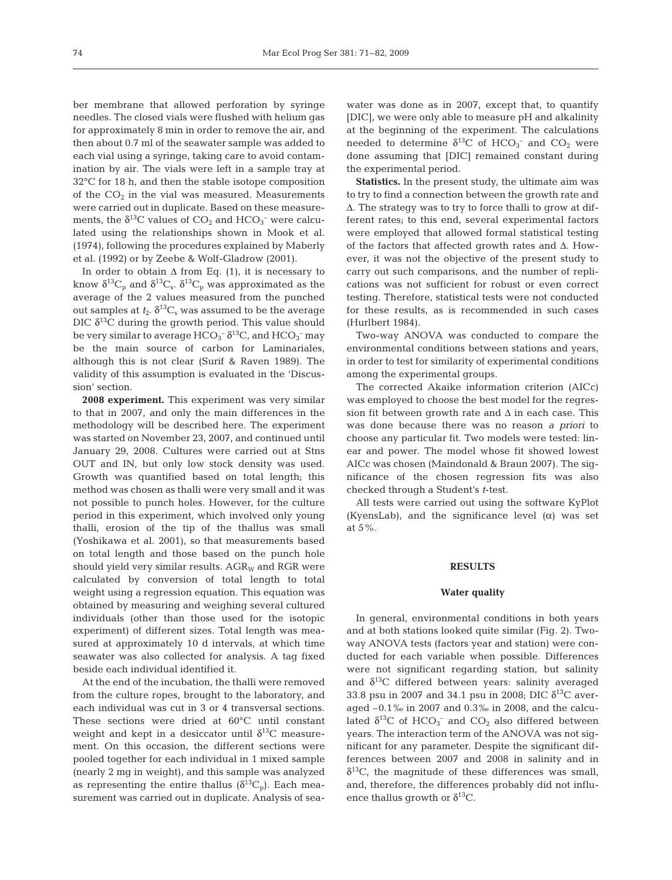ber membrane that allowed perforation by syringe needles. The closed vials were flushed with helium gas for approximately 8 min in order to remove the air, and then about 0.7 ml of the seawater sample was added to each vial using a syringe, taking care to avoid contamination by air. The vials were left in a sample tray at 32°C for 18 h, and then the stable isotope composition of the  $CO<sub>2</sub>$  in the vial was measured. Measurements were carried out in duplicate. Based on these measurements, the  $\delta^{13}C$  values of  $CO_2$  and  $HCO_3^-$  were calculated using the relationships shown in Mook et al. (1974), following the procedures explained by Maberly et al. (1992) or by Zeebe & Wolf-Gladrow (2001).

In order to obtain  $\Delta$  from Eq. (1), it is necessary to know  $\delta^{13}C_p$  and  $\delta^{13}C_s$ .  $\delta^{13}C_p$  was approximated as the average of the 2 values measured from the punched out samples at  $t_2$ .  $\delta^{13}C_s$  was assumed to be the average DIC  $\delta^{13}$ C during the growth period. This value should be very similar to average  $\rm{HCO_3^-}$   $\rm{\delta^{13}C}$ , and  $\rm{HCO_3^-}$  may be the main source of carbon for Laminariales, although this is not clear (Surif & Raven 1989). The validity of this assumption is evaluated in the 'Discussion' section.

**2008 experiment.** This experiment was very similar to that in 2007, and only the main differences in the methodology will be described here. The experiment was started on November 23, 2007, and continued until January 29, 2008. Cultures were carried out at Stns OUT and IN, but only low stock density was used. Growth was quantified based on total length; this method was chosen as thalli were very small and it was not possible to punch holes. However, for the culture period in this experiment, which involved only young thalli, erosion of the tip of the thallus was small (Yoshikawa et al. 2001), so that measurements based on total length and those based on the punch hole should yield very similar results.  $AGR_W$  and RGR were calculated by conversion of total length to total weight using a regression equation. This equation was obtained by measuring and weighing several cultured individuals (other than those used for the isotopic experiment) of different sizes. Total length was measured at approximately 10 d intervals, at which time seawater was also collected for analysis. A tag fixed beside each individual identified it.

At the end of the incubation, the thalli were removed from the culture ropes, brought to the laboratory, and each individual was cut in 3 or 4 transversal sections. These sections were dried at 60°C until constant weight and kept in a desiccator until  $\delta^{13}$ C measurement. On this occasion, the different sections were pooled together for each individual in 1 mixed sample (nearly 2 mg in weight), and this sample was analyzed as representing the entire thallus  $(\delta^{13}C_p)$ . Each measurement was carried out in duplicate. Analysis of seawater was done as in 2007, except that, to quantify [DIC], we were only able to measure pH and alkalinity at the beginning of the experiment. The calculations needed to determine  $\delta^{13}C$  of  $HCO_3^-$  and  $CO_2$  were done assuming that [DIC] remained constant during the experimental period.

**Statistics.** In the present study, the ultimate aim was to try to find a connection between the growth rate and Δ. The strategy was to try to force thalli to grow at different rates; to this end, several experimental factors were employed that allowed formal statistical testing of the factors that affected growth rates and Δ. However, it was not the objective of the present study to carry out such comparisons, and the number of replications was not sufficient for robust or even correct testing. Therefore, statistical tests were not conducted for these results, as is recommended in such cases (Hurlbert 1984).

Two-way ANOVA was conducted to compare the environmental conditions between stations and years, in order to test for similarity of experimental conditions among the experimental groups.

The corrected Akaike information criterion (AICc) was employed to choose the best model for the regression fit between growth rate and  $\Delta$  in each case. This was done because there was no reason *a priori* to choose any particular fit. Two models were tested: linear and power. The model whose fit showed lowest AICc was chosen (Maindonald & Braun 2007). The significance of the chosen regression fits was also checked through a Student's *t*-test.

All tests were carried out using the software KyPlot (KyensLab), and the significance level  $(\alpha)$  was set at 5%.

### **RESULTS**

#### **Water quality**

In general, environmental conditions in both years and at both stations looked quite similar (Fig. 2). Twoway ANOVA tests (factors year and station) were conducted for each variable when possible. Differences were not significant regarding station, but salinity and  $\delta^{13}$ C differed between years: salinity averaged 33.8 psu in 2007 and 34.1 psu in 2008; DIC  $\delta^{13}$ C averaged –0.1‰ in 2007 and 0.3‰ in 2008, and the calculated  $\delta^{13}C$  of  $HCO_3^-$  and  $CO_2$  also differed between years. The interaction term of the ANOVA was not significant for any parameter. Despite the significant differences between 2007 and 2008 in salinity and in  $\delta^{13}$ C, the magnitude of these differences was small, and, therefore, the differences probably did not influence thallus growth or  $\delta^{13}$ C.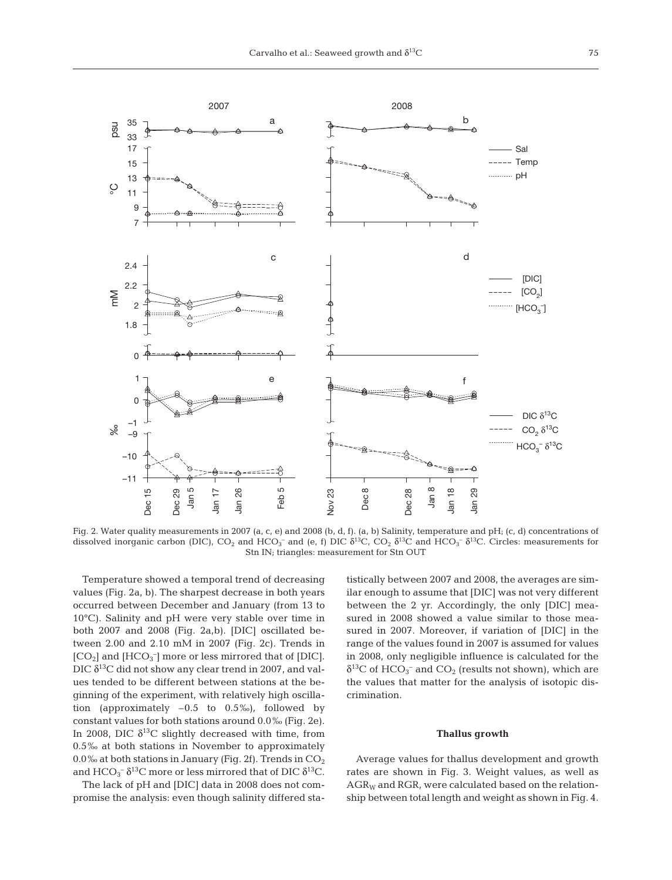

Fig. 2. Water quality measurements in 2007 (a, c, e) and 2008 (b, d, f). (a, b) Salinity, temperature and pH; (c, d) concentrations of dissolved inorganic carbon (DIC),  $CO_2$  and  $HCO_3^-$  and (e, f) DIC  $\delta^{13}$ C,  $CO_2$   $\delta^{13}$ C and  $HCO_3^ \delta^{13}$ C. Circles: measurements for Stn IN; triangles: measurement for Stn OUT

Temperature showed a temporal trend of decreasing values (Fig. 2a, b). The sharpest decrease in both years occurred between December and January (from 13 to 10°C). Salinity and pH were very stable over time in both 2007 and 2008 (Fig. 2a,b). [DIC] oscillated between 2.00 and 2.10 mM in 2007 (Fig. 2c). Trends in  $[CO<sub>2</sub>]$  and  $[HCO<sub>3</sub>^-]$  more or less mirrored that of [DIC]. DIC  $\delta^{13}$ C did not show any clear trend in 2007, and values tended to be different between stations at the beginning of the experiment, with relatively high oscillation (approximately  $-0.5$  to  $0.5\%$ ), followed by constant values for both stations around 0.0‰ (Fig. 2e). In 2008, DIC  $\delta^{13}$ C slightly decreased with time, from 0.5‰ at both stations in November to approximately 0.0‰ at both stations in January (Fig. 2f). Trends in  $CO<sub>2</sub>$ and  $\rm{HCO_3^-}$   $\delta^{13}$ C more or less mirrored that of DIC  $\delta^{13}$ C.

The lack of pH and [DIC] data in 2008 does not compromise the analysis: even though salinity differed statistically between 2007 and 2008, the averages are similar enough to assume that [DIC] was not very different between the 2 yr. Accordingly, the only [DIC] measured in 2008 showed a value similar to those measured in 2007. Moreover, if variation of [DIC] in the range of the values found in 2007 is assumed for values in 2008, only negligible influence is calculated for the  $\delta^{13}$ C of HCO<sub>3</sub><sup>-</sup> and CO<sub>2</sub> (results not shown), which are the values that matter for the analysis of isotopic discrimination.

#### **Thallus growth**

Average values for thallus development and growth rates are shown in Fig. 3. Weight values, as well as  $AGR_W$  and RGR, were calculated based on the relationship between total length and weight as shown in Fig. 4.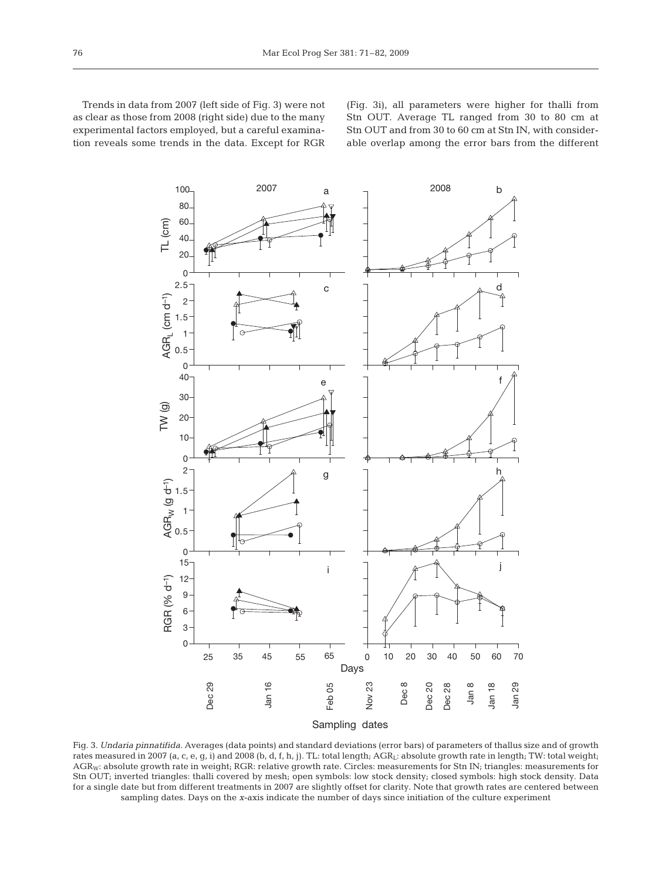Trends in data from 2007 (left side of Fig. 3) were not as clear as those from 2008 (right side) due to the many experimental factors employed, but a careful examination reveals some trends in the data. Except for RGR (Fig. 3i), all parameters were higher for thalli from Stn OUT. Average TL ranged from 30 to 80 cm at Stn OUT and from 30 to 60 cm at Stn IN, with considerable overlap among the error bars from the different



Fig. 3. *Undaria pinnatifida.* Averages (data points) and standard deviations (error bars) of parameters of thallus size and of growth rates measured in 2007 (a, c, e, g, i) and 2008 (b, d, f, h, j). TL: total length; AGRL: absolute growth rate in length; TW: total weight; AGR<sub>W</sub>: absolute growth rate in weight; RGR: relative growth rate. Circles: measurements for Stn IN; triangles: measurements for Stn OUT; inverted triangles: thalli covered by mesh; open symbols: low stock density; closed symbols: high stock density. Data for a single date but from different treatments in 2007 are slightly offset for clarity. Note that growth rates are centered between sampling dates. Days on the *x*-axis indicate the number of days since initiation of the culture experiment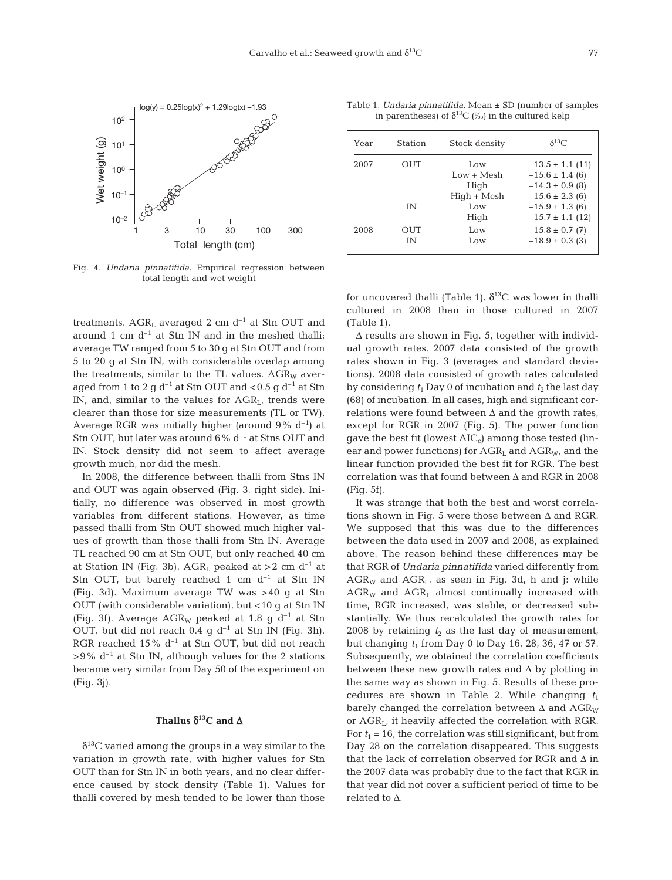

Fig. 4. *Undaria pinnatifida.* Empirical regression between total length and wet weight

treatments.  $AGR_L$  averaged 2 cm  $d^{-1}$  at Stn OUT and around 1 cm  $d^{-1}$  at Stn IN and in the meshed thalli; average TW ranged from 5 to 30 g at Stn OUT and from 5 to 20 g at Stn IN, with considerable overlap among the treatments, similar to the TL values.  $AGR_W$  averaged from 1 to 2 g  $d^{-1}$  at Stn OUT and <0.5 g  $d^{-1}$  at Stn IN, and, similar to the values for  $AGR_L$ , trends were clearer than those for size measurements (TL or TW). Average RGR was initially higher (around  $9\%$  d<sup>-1</sup>) at Stn OUT, but later was around  $6\%$  d<sup>-1</sup> at Stns OUT and IN. Stock density did not seem to affect average growth much, nor did the mesh.

In 2008, the difference between thalli from Stns IN and OUT was again observed (Fig. 3, right side). Initially, no difference was observed in most growth variables from different stations. However, as time passed thalli from Stn OUT showed much higher values of growth than those thalli from Stn IN. Average TL reached 90 cm at Stn OUT, but only reached 40 cm at Station IN (Fig. 3b).  $AGR<sub>L</sub>$  peaked at >2 cm d<sup>-1</sup> at Stn OUT, but barely reached 1 cm  $d^{-1}$  at Stn IN (Fig. 3d). Maximum average TW was >40 g at Stn OUT (with considerable variation), but <10 g at Stn IN (Fig. 3f). Average  $AGR_W$  peaked at 1.8 g d<sup>-1</sup> at Stn OUT, but did not reach  $0.4$  g d<sup>-1</sup> at Stn IN (Fig. 3h). RGR reached  $15\%$  d<sup>-1</sup> at Stn OUT, but did not reach  $>9\%$  d<sup>-1</sup> at Stn IN, although values for the 2 stations became very similar from Day 50 of the experiment on (Fig. 3j).

# **Thallus** δ**13C and** Δ

 $\delta^{13}$ C varied among the groups in a way similar to the variation in growth rate, with higher values for Stn OUT than for Stn IN in both years, and no clear difference caused by stock density (Table 1). Values for thalli covered by mesh tended to be lower than those

Table 1. *Undaria pinnatifida.* Mean ± SD (number of samples in parentheses) of  $\delta^{13}C$  (‰) in the cultured kelp

| Year | Station   | Stock density                | $\delta^{13}$ C                                                    |
|------|-----------|------------------------------|--------------------------------------------------------------------|
| 2007 | OUT       | Low<br>$Low + Mesh$<br>High  | $-13.5 \pm 1.1$ (11)<br>$-15.6 \pm 1.4$ (6)<br>$-14.3 \pm 0.9$ (8) |
|      | ΙN        | $High + Mesh$<br>Low<br>High | $-15.6 \pm 2.3$ (6)<br>$-15.9 \pm 1.3$ (6)<br>$-15.7 \pm 1.1$ (12) |
| 2008 | OUT<br>īΝ | Low<br>Low                   | $-15.8 \pm 0.7$ (7)<br>$-18.9 \pm 0.3$ (3)                         |

for uncovered thalli (Table 1).  $\delta^{13}$ C was lower in thalli cultured in 2008 than in those cultured in 2007 (Table 1).

Δ results are shown in Fig. 5, together with individual growth rates. 2007 data consisted of the growth rates shown in Fig. 3 (averages and standard deviations). 2008 data consisted of growth rates calculated by considering  $t_1$  Day 0 of incubation and  $t_2$  the last day (68) of incubation. In all cases, high and significant correlations were found between  $\Delta$  and the growth rates, except for RGR in 2007 (Fig. 5). The power function gave the best fit (lowest  $AIC<sub>c</sub>$ ) among those tested (linear and power functions) for  $AGR_i$  and  $AGR_{W_i}$  and the linear function provided the best fit for RGR. The best correlation was that found between Δ and RGR in 2008 (Fig. 5f).

It was strange that both the best and worst correlations shown in Fig. 5 were those between  $\Delta$  and RGR. We supposed that this was due to the differences between the data used in 2007 and 2008, as explained above. The reason behind these differences may be that RGR of *Undaria pinnatifida* varied differently from  $AGR_W$  and  $AGR_L$ , as seen in Fig. 3d, h and j: while  $AGR_W$  and  $AGR_L$  almost continually increased with time, RGR increased, was stable, or decreased substantially. We thus recalculated the growth rates for 2008 by retaining  $t_2$  as the last day of measurement, but changing *t*<sup>1</sup> from Day 0 to Day 16, 28, 36, 47 or 57. Subsequently, we obtained the correlation coefficients between these new growth rates and  $\Delta$  by plotting in the same way as shown in Fig. 5. Results of these procedures are shown in Table 2. While changing  $t_1$ barely changed the correlation between  $\Delta$  and  $\text{AGR}_{\text{W}}$ or  $AGR<sub>L</sub>$ , it heavily affected the correlation with RGR. For  $t_1$  = 16, the correlation was still significant, but from Day 28 on the correlation disappeared. This suggests that the lack of correlation observed for RGR and Δ in the 2007 data was probably due to the fact that RGR in that year did not cover a sufficient period of time to be related to Δ.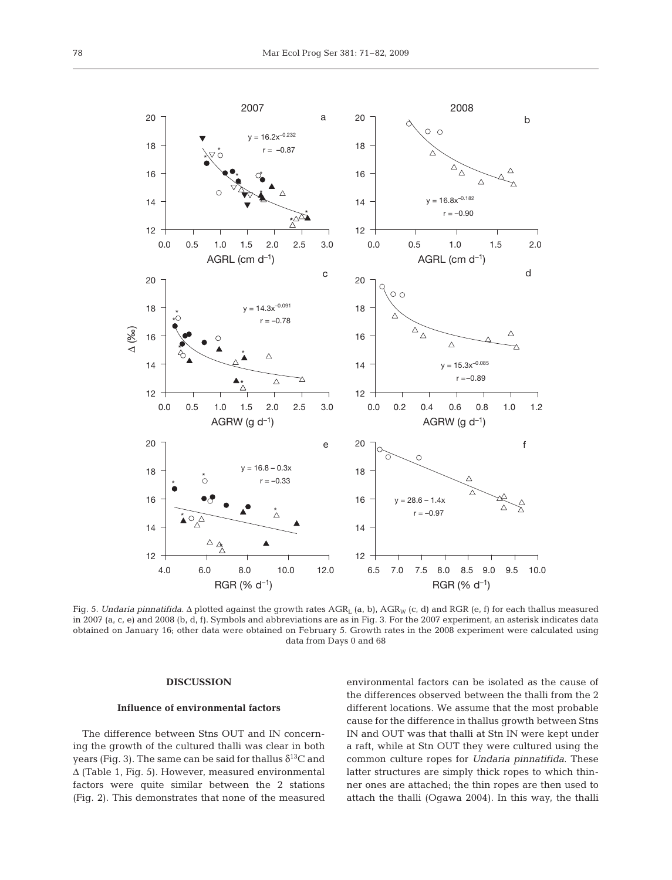

Fig. 5. *Undaria pinnatifida*. Δ plotted against the growth rates AGR<sub>L</sub> (a, b), AGR<sub>W</sub> (c, d) and RGR (e, f) for each thallus measured in 2007 (a, c, e) and 2008 (b, d, f). Symbols and abbreviations are as in Fig. 3. For the 2007 experiment, an asterisk indicates data obtained on January 16; other data were obtained on February 5. Growth rates in the 2008 experiment were calculated using data from Days 0 and 68

## **DISCUSSION**

## **Influence of environmental factors**

The difference between Stns OUT and IN concerning the growth of the cultured thalli was clear in both years (Fig. 3). The same can be said for thallus  $\delta^{13}C$  and Δ (Table 1, Fig. 5). However, measured environmental factors were quite similar between the 2 stations (Fig. 2). This demonstrates that none of the measured environmental factors can be isolated as the cause of the differences observed between the thalli from the 2 different locations. We assume that the most probable cause for the difference in thallus growth between Stns IN and OUT was that thalli at Stn IN were kept under a raft, while at Stn OUT they were cultured using the common culture ropes for *Undaria pinnatifida*. These latter structures are simply thick ropes to which thinner ones are attached; the thin ropes are then used to attach the thalli (Ogawa 2004). In this way, the thalli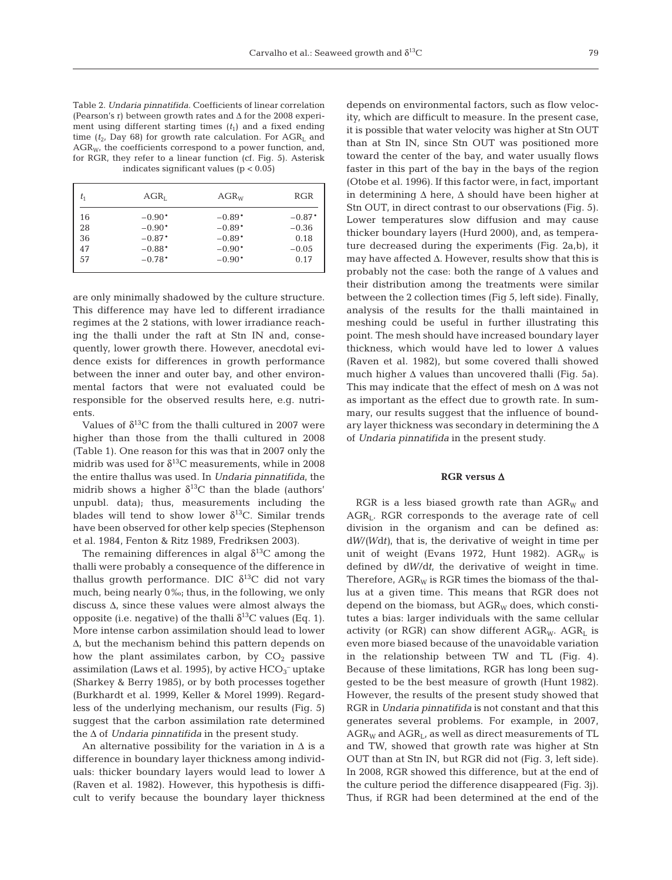Table 2. *Undaria pinnatifida.* Coefficients of linear correlation (Pearson's r) between growth rates and Δ for the 2008 experiment using different starting times  $(t_1)$  and a fixed ending time ( $t_2$ , Day 68) for growth rate calculation. For  $AGR_L$  and  $AGR_{Wt}$  the coefficients correspond to a power function, and, for RGR, they refer to a linear function (cf. Fig. 5). Asterisk indicates significant values  $(p < 0.05)$ 

| $t_{1}$ | $AGR_{L}$ | $AGR_W$  | RGR      |
|---------|-----------|----------|----------|
| 16      | $-0.90*$  | $-0.89*$ | $-0.87*$ |
| 28      | $-0.90*$  | $-0.89*$ | $-0.36$  |
| 36      | $-0.87*$  | $-0.89*$ | 0.18     |
| 47      | $-0.88*$  | $-0.90*$ | $-0.05$  |
| 57      | $-0.78*$  | $-0.90*$ | 0.17     |
|         |           |          |          |

are only minimally shadowed by the culture structure. This difference may have led to different irradiance regimes at the 2 stations, with lower irradiance reaching the thalli under the raft at Stn IN and, consequently, lower growth there. However, anecdotal evidence exists for differences in growth performance between the inner and outer bay, and other environmental factors that were not evaluated could be responsible for the observed results here, e.g. nutrients.

Values of  $\delta^{13}$ C from the thalli cultured in 2007 were higher than those from the thalli cultured in 2008 (Table 1). One reason for this was that in 2007 only the midrib was used for  $\delta^{13}$ C measurements, while in 2008 the entire thallus was used. In *Undaria pinnatifida*, the midrib shows a higher  $\delta^{13}$ C than the blade (authors' unpubl. data); thus, measurements including the blades will tend to show lower  $\delta^{13}$ C. Similar trends have been observed for other kelp species (Stephenson et al. 1984, Fenton & Ritz 1989, Fredriksen 2003).

The remaining differences in algal  $\delta^{13}C$  among the thalli were probably a consequence of the difference in thallus growth performance. DIC  $\delta^{13}$ C did not vary much, being nearly 0‰; thus, in the following, we only discuss  $\Delta$ , since these values were almost always the opposite (i.e. negative) of the thalli  $δ<sup>13</sup>C$  values (Eq. 1). More intense carbon assimilation should lead to lower Δ, but the mechanism behind this pattern depends on how the plant assimilates carbon, by  $CO<sub>2</sub>$  passive assimilation (Laws et al. 1995), by active  $\rm{HCO_3^-}$  uptake (Sharkey & Berry 1985), or by both processes together (Burkhardt et al. 1999, Keller & Morel 1999). Regardless of the underlying mechanism, our results (Fig. 5) suggest that the carbon assimilation rate determined the Δ of *Undaria pinnatifida* in the present study.

An alternative possibility for the variation in  $\Delta$  is a difference in boundary layer thickness among individuals: thicker boundary layers would lead to lower  $\Delta$ (Raven et al. 1982). However, this hypothesis is difficult to verify because the boundary layer thickness depends on environmental factors, such as flow velocity, which are difficult to measure. In the present case, it is possible that water velocity was higher at Stn OUT than at Stn IN, since Stn OUT was positioned more toward the center of the bay, and water usually flows faster in this part of the bay in the bays of the region (Otobe et al. 1996). If this factor were, in fact, important in determining  $\Delta$  here,  $\Delta$  should have been higher at Stn OUT, in direct contrast to our observations (Fig. 5). Lower temperatures slow diffusion and may cause thicker boundary layers (Hurd 2000), and, as temperature decreased during the experiments (Fig. 2a,b), it may have affected  $\Delta$ . However, results show that this is probably not the case: both the range of  $\Delta$  values and their distribution among the treatments were similar between the 2 collection times (Fig 5, left side). Finally, analysis of the results for the thalli maintained in meshing could be useful in further illustrating this point. The mesh should have increased boundary layer thickness, which would have led to lower  $\Delta$  values (Raven et al. 1982), but some covered thalli showed much higher Δ values than uncovered thalli (Fig. 5a). This may indicate that the effect of mesh on  $\Delta$  was not as important as the effect due to growth rate. In summary, our results suggest that the influence of boundary layer thickness was secondary in determining the Δ of *Undaria pinnatifida* in the present study.

### **RGR versus** Δ

RGR is a less biased growth rate than  $AGR_W$  and AGR<sub>L</sub>. RGR corresponds to the average rate of cell division in the organism and can be defined as: d*W*/*(W*d*t)*, that is, the derivative of weight in time per unit of weight (Evans 1972, Hunt 1982).  $AGR_W$  is defined by d*W*/d*t*, the derivative of weight in time. Therefore,  $AGR_W$  is RGR times the biomass of the thallus at a given time. This means that RGR does not depend on the biomass, but  $AGR_W$  does, which constitutes a bias: larger individuals with the same cellular activity (or RGR) can show different  $AGR_W$ .  $AGR_L$  is even more biased because of the unavoidable variation in the relationship between TW and TL (Fig. 4). Because of these limitations, RGR has long been suggested to be the best measure of growth (Hunt 1982). However, the results of the present study showed that RGR in *Undaria pinnatifida* is not constant and that this generates several problems. For example, in 2007,  $AGR_W$  and  $AGR_L$ , as well as direct measurements of TL and TW, showed that growth rate was higher at Stn OUT than at Stn IN, but RGR did not (Fig. 3, left side). In 2008, RGR showed this difference, but at the end of the culture period the difference disappeared (Fig. 3j). Thus, if RGR had been determined at the end of the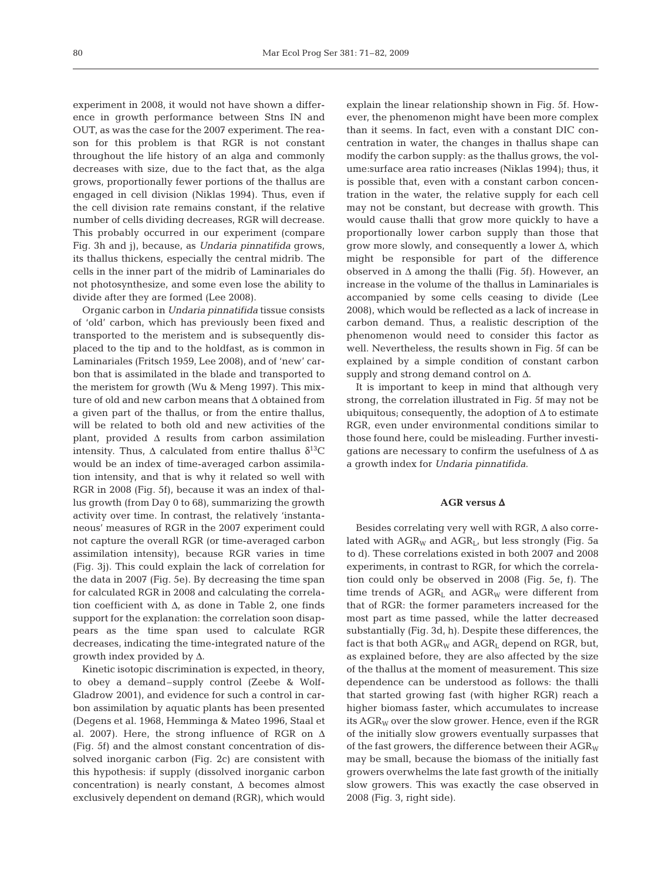experiment in 2008, it would not have shown a difference in growth performance between Stns IN and OUT, as was the case for the 2007 experiment. The reason for this problem is that RGR is not constant throughout the life history of an alga and commonly decreases with size, due to the fact that, as the alga grows, proportionally fewer portions of the thallus are engaged in cell division (Niklas 1994). Thus, even if the cell division rate remains constant, if the relative number of cells dividing decreases, RGR will decrease. This probably occurred in our experiment (compare Fig. 3h and j), because, as *Undaria pinnatifida* grows, its thallus thickens, especially the central midrib. The cells in the inner part of the midrib of Laminariales do not photosynthesize, and some even lose the ability to divide after they are formed (Lee 2008).

Organic carbon in *Undaria pinnatifida* tissue consists of 'old' carbon, which has previously been fixed and transported to the meristem and is subsequently displaced to the tip and to the holdfast, as is common in Laminariales (Fritsch 1959, Lee 2008), and of 'new' carbon that is assimilated in the blade and transported to the meristem for growth (Wu & Meng 1997). This mixture of old and new carbon means that Δ obtained from a given part of the thallus, or from the entire thallus, will be related to both old and new activities of the plant, provided  $\Delta$  results from carbon assimilation intensity. Thus,  $\Delta$  calculated from entire thallus  $\delta^{13}C$ would be an index of time-averaged carbon assimilation intensity, and that is why it related so well with RGR in 2008 (Fig. 5f), because it was an index of thallus growth (from Day 0 to 68), summarizing the growth activity over time. In contrast, the relatively 'instantaneous' measures of RGR in the 2007 experiment could not capture the overall RGR (or time-averaged carbon assimilation intensity), because RGR varies in time (Fig. 3j). This could explain the lack of correlation for the data in 2007 (Fig. 5e). By decreasing the time span for calculated RGR in 2008 and calculating the correlation coefficient with  $\Delta$ , as done in Table 2, one finds support for the explanation: the correlation soon disappears as the time span used to calculate RGR decreases, indicating the time-integrated nature of the growth index provided by  $\Delta$ .

Kinetic isotopic discrimination is expected, in theory, to obey a demand–supply control (Zeebe & Wolf-Gladrow 2001), and evidence for such a control in carbon assimilation by aquatic plants has been presented (Degens et al. 1968, Hemminga & Mateo 1996, Staal et al. 2007). Here, the strong influence of RGR on  $\Delta$ (Fig. 5f) and the almost constant concentration of dissolved inorganic carbon (Fig. 2c) are consistent with this hypothesis: if supply (dissolved inorganic carbon concentration) is nearly constant, Δ becomes almost exclusively dependent on demand (RGR), which would explain the linear relationship shown in Fig. 5f. However, the phenomenon might have been more complex than it seems. In fact, even with a constant DIC concentration in water, the changes in thallus shape can modify the carbon supply: as the thallus grows, the volume:surface area ratio increases (Niklas 1994); thus, it is possible that, even with a constant carbon concentration in the water, the relative supply for each cell may not be constant, but decrease with growth. This would cause thalli that grow more quickly to have a proportionally lower carbon supply than those that grow more slowly, and consequently a lower Δ, which might be responsible for part of the difference observed in  $\Delta$  among the thalli (Fig. 5f). However, an increase in the volume of the thallus in Laminariales is accompanied by some cells ceasing to divide (Lee 2008), which would be reflected as a lack of increase in carbon demand. Thus, a realistic description of the phenomenon would need to consider this factor as well. Nevertheless, the results shown in Fig. 5f can be explained by a simple condition of constant carbon supply and strong demand control on Δ.

It is important to keep in mind that although very strong, the correlation illustrated in Fig. 5f may not be ubiquitous; consequently, the adoption of  $\Delta$  to estimate RGR, even under environmental conditions similar to those found here, could be misleading. Further investigations are necessary to confirm the usefulness of  $\Delta$  as a growth index for *Undaria pinnatifida*.

#### **AGR versus** Δ

Besides correlating very well with  $RGR, \Delta$  also correlated with  $AGR_W$  and  $AGR_L$ , but less strongly (Fig. 5a to d). These correlations existed in both 2007 and 2008 experiments, in contrast to RGR, for which the correlation could only be observed in 2008 (Fig. 5e, f). The time trends of  $AGR<sub>L</sub>$  and  $AGR<sub>W</sub>$  were different from that of RGR: the former parameters increased for the most part as time passed, while the latter decreased substantially (Fig. 3d, h). Despite these differences, the fact is that both  $AGR_W$  and  $AGR_L$  depend on RGR, but, as explained before, they are also affected by the size of the thallus at the moment of measurement. This size dependence can be understood as follows: the thalli that started growing fast (with higher RGR) reach a higher biomass faster, which accumulates to increase its  $AGR_W$  over the slow grower. Hence, even if the RGR of the initially slow growers eventually surpasses that of the fast growers, the difference between their  $AGR_W$ may be small, because the biomass of the initially fast growers overwhelms the late fast growth of the initially slow growers. This was exactly the case observed in 2008 (Fig. 3, right side).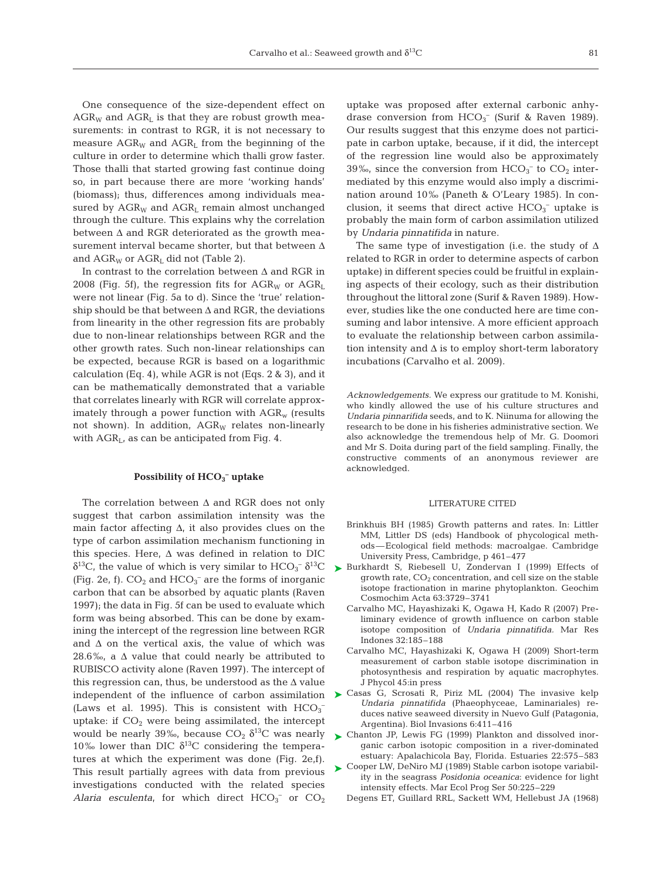One consequence of the size-dependent effect on  $AGR_W$  and  $AGR_L$  is that they are robust growth measurements: in contrast to RGR, it is not necessary to measure  $AGR_W$  and  $AGR_L$  from the beginning of the culture in order to determine which thalli grow faster. Those thalli that started growing fast continue doing so, in part because there are more 'working hands' (biomass); thus, differences among individuals measured by  $AGR_W$  and  $AGR_L$  remain almost unchanged through the culture. This explains why the correlation between  $\Delta$  and RGR deteriorated as the growth measurement interval became shorter, but that between Δ and  $AGR_W$  or  $AGR_I$  did not (Table 2).

In contrast to the correlation between  $\Delta$  and RGR in 2008 (Fig. 5f), the regression fits for  $AGR_W$  or  $AGR_L$ were not linear (Fig. 5a to d). Since the 'true' relationship should be that between  $\Delta$  and RGR, the deviations from linearity in the other regression fits are probably due to non-linear relationships between RGR and the other growth rates. Such non-linear relationships can be expected, because RGR is based on a logarithmic calculation (Eq. 4), while AGR is not (Eqs. 2 & 3), and it can be mathematically demonstrated that a variable that correlates linearly with RGR will correlate approximately through a power function with  $AGR<sub>w</sub>$  (results not shown). In addition,  $AGR_W$  relates non-linearly with  $AGR<sub>L</sub>$ , as can be anticipated from Fig. 4.

## **Possibility of HCO3 – uptake**

The correlation between  $\Delta$  and RGR does not only suggest that carbon assimilation intensity was the main factor affecting  $\Delta$ , it also provides clues on the type of carbon assimilation mechanism functioning in this species. Here,  $\Delta$  was defined in relation to DIC δ<sup>13</sup>C, the value of which is very similar to  $\text{HCO}_3^-$  δ<sup>13</sup>C (Fig. 2e, f).  $CO_2$  and  $HCO_3^-$  are the forms of inorganic carbon that can be absorbed by aquatic plants (Raven 1997); the data in Fig. 5f can be used to evaluate which form was being absorbed. This can be done by examining the intercept of the regression line between RGR and  $\Delta$  on the vertical axis, the value of which was 28.6‰, a  $\Delta$  value that could nearly be attributed to RUBISCO activity alone (Raven 1997). The intercept of this regression can, thus, be understood as the  $\Delta$  value independent of the influence of carbon assimilation (Laws et al. 1995). This is consistent with  $HCO_3^$ uptake: if  $CO<sub>2</sub>$  were being assimilated, the intercept would be nearly 39‰, because  $CO<sub>2</sub> \delta<sup>13</sup>C$  was nearly 10‰ lower than DIC  $δ<sup>13</sup>C$  considering the temperatures at which the experiment was done (Fig. 2e,f). This result partially agrees with data from previous investigations conducted with the related species *Alaria esculenta*, for which direct  $HCO_3^-$  or  $CO_2$ 

uptake was proposed after external carbonic anhydrase conversion from  $HCO_3^-$  (Surif & Raven 1989). Our results suggest that this enzyme does not participate in carbon uptake, because, if it did, the intercept of the regression line would also be approximately 39‰, since the conversion from  $HCO_3^-$  to  $CO_2$  intermediated by this enzyme would also imply a discrimination around 10‰ (Paneth & O'Leary 1985). In conclusion, it seems that direct active  $HCO_3^-$  uptake is probably the main form of carbon assimilation utilized by *Undaria pinnatifida* in nature.

The same type of investigation (i.e. the study of  $\Delta$ related to RGR in order to determine aspects of carbon uptake) in different species could be fruitful in explaining aspects of their ecology, such as their distribution throughout the littoral zone (Surif & Raven 1989). However, studies like the one conducted here are time consuming and labor intensive. A more efficient approach to evaluate the relationship between carbon assimilation intensity and  $\Delta$  is to employ short-term laboratory incubations (Carvalho et al. 2009).

*Acknowledgements.* We express our gratitude to M. Konishi, who kindly allowed the use of his culture structures and *Undaria pinnarifida* seeds, and to K. Niinuma for allowing the research to be done in his fisheries administrative section. We also acknowledge the tremendous help of Mr. G. Doomori and Mr S. Doita during part of the field sampling. Finally, the constructive comments of an anonymous reviewer are acknowledged.

## LITERATURE CITED

- Brinkhuis BH (1985) Growth patterns and rates. In: Littler MM, Littler DS (eds) Handbook of phycological methods—Ecological field methods: macroalgae. Cambridge University Press, Cambridge, p 461–477
- ► Burkhardt S, Riebesell U, Zondervan I (1999) Effects of growth rate,  $CO<sub>2</sub>$  concentration, and cell size on the stable isotope fractionation in marine phytoplankton. Geochim Cosmochim Acta 63:3729–3741
	- Carvalho MC, Hayashizaki K, Ogawa H, Kado R (2007) Preliminary evidence of growth influence on carbon stable isotope composition of *Undaria pinnatifida.* Mar Res Indones 32:185–188
	- Carvalho MC, Hayashizaki K, Ogawa H (2009) Short-term measurement of carbon stable isotope discrimination in photosynthesis and respiration by aquatic macrophytes. J Phycol 45:in press
- ► Casas G, Scrosati R, Piriz ML (2004) The invasive kelp *Undaria pinnatifida* (Phaeophyceae, Laminariales) reduces native seaweed diversity in Nuevo Gulf (Patagonia, Argentina). Biol Invasions 6:411–416
- ► Chanton JP, Lewis FG (1999) Plankton and dissolved inorganic carbon isotopic composition in a river-dominated estuary: Apalachicola Bay, Florida. Estuaries 22:575–583
- ► Cooper LW, DeNiro MJ (1989) Stable carbon isotope variability in the seagrass *Posidonia oceanica*: evidence for light intensity effects. Mar Ecol Prog Ser 50:225–229
	- Degens ET, Guillard RRL, Sackett WM, Hellebust JA (1968)